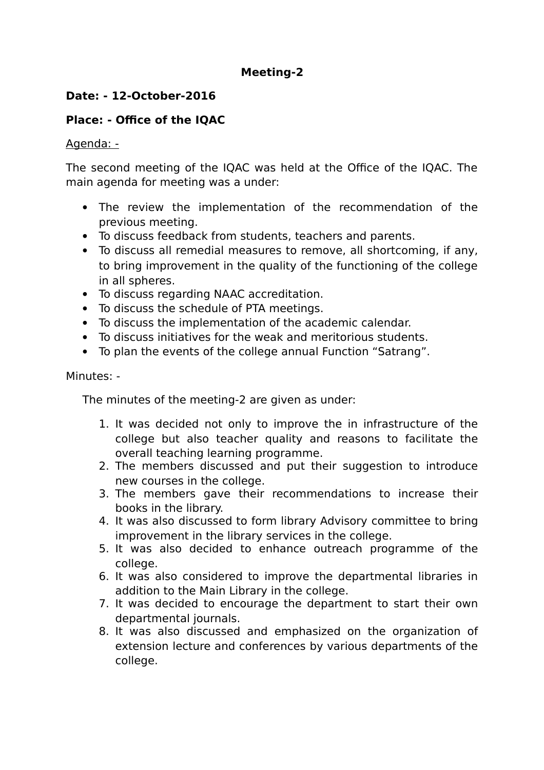# **Meeting-2**

# **Date: - 12-October-2016**

# **Place: - Office of the IQAC**

#### Agenda: -

The second meeting of the IQAC was held at the Office of the IQAC. The main agenda for meeting was a under:

- The review the implementation of the recommendation of the previous meeting.
- To discuss feedback from students, teachers and parents.
- To discuss all remedial measures to remove, all shortcoming, if any, to bring improvement in the quality of the functioning of the college in all spheres.
- To discuss regarding NAAC accreditation.
- To discuss the schedule of PTA meetings.
- To discuss the implementation of the academic calendar.
- To discuss initiatives for the weak and meritorious students.
- To plan the events of the college annual Function "Satrang".

#### Minutes: -

The minutes of the meeting-2 are given as under:

- 1. It was decided not only to improve the in infrastructure of the college but also teacher quality and reasons to facilitate the overall teaching learning programme.
- 2. The members discussed and put their suggestion to introduce new courses in the college.
- 3. The members gave their recommendations to increase their books in the library.
- 4. It was also discussed to form library Advisory committee to bring improvement in the library services in the college.
- 5. It was also decided to enhance outreach programme of the college.
- 6. It was also considered to improve the departmental libraries in addition to the Main Library in the college.
- 7. It was decided to encourage the department to start their own departmental journals.
- 8. It was also discussed and emphasized on the organization of extension lecture and conferences by various departments of the college.